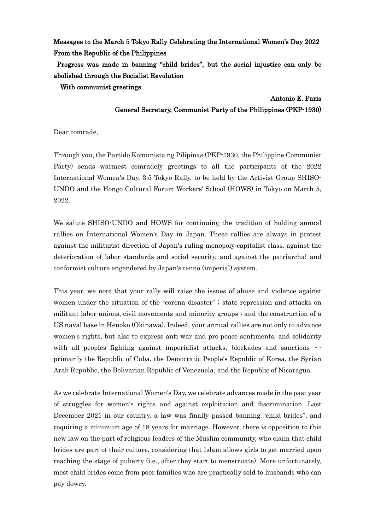Messages to the March 5 Tokyo Rally Celebrating the International Women's Day 2022 From the Republic of the Philippines

 Progress was made in banning "child brides", but the social injustice can only be abolished through the Socialist Revolution

With communist greetings

## Antonio E. Paris

## General Secretary, Communist Party of the Philippines (PKP-1930)

Dear comrade,

Through you, the Partido Komunista ng Pilipinas (PKP-1930, the Philippine Communist Party) sends warmest comradely greetings to all the participants of the 2022 International Women's Day, 3.5 Tokyo Rally, to be held by the Activist Group SHISO-UNDO and the Hongo Cultural Forum Workers' School (HOWS) in Tokyo on March 5, 2022.

We salute SHISO-UNDO and HOWS for continuing the tradition of holding annual rallies on International Women's Day in Japan. These rallies are always in protest against the militarist direction of Japan's ruling monopoly-capitalist class, against the deterioration of labor standards and social security, and against the patriarchal and conformist culture engendered by Japan's tenno (imperial) system.

This year, we note that your rally will raise the issues of abuse and violence against women under the situation of the "corona disaster" ; state repression and attacks on militant labor unions, civil movements and minority groups ; and the construction of a US naval base in Henoko (Okinawa). Indeed, your annual rallies are not only to advance women's rights, but also to express anti-war and pro-peace sentiments, and solidarity with all peoples fighting against imperialist attacks, blockades and sanctions – primarily the Republic of Cuba, the Democratic People's Republic of Korea, the Syrian Arab Republic, the Bolivarian Republic of Venezuela, and the Republic of Nicaragua.

As we celebrate International Women's Day, we celebrate advances made in the past year of struggles for women's rights and against exploitation and discrimination. Last December 2021 in our country, a law was finally passed banning "child brides", and requiring a minimum age of 18 years for marriage. However, there is opposition to this new law on the part of religious leaders of the Muslim community, who claim that child brides are part of their culture, considering that Islam allows girls to get married upon reaching the stage of puberty (i.e., after they start to menstruate). More unfortunately, most child brides come from poor families who are practically sold to husbands who can pay dowry.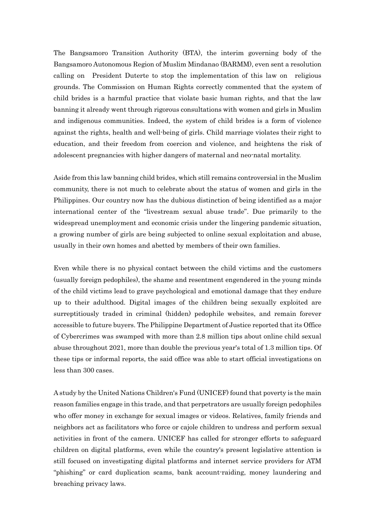The Bangsamoro Transition Authority (BTA), the interim governing body of the Bangsamoro Autonomous Region of Muslim Mindanao (BARMM), even sent a resolution calling on President Duterte to stop the implementation of this law on religious grounds. The Commission on Human Rights correctly commented that the system of child brides is a harmful practice that violate basic human rights, and that the law banning it already went through rigorous consultations with women and girls in Muslim and indigenous communities. Indeed, the system of child brides is a form of violence against the rights, health and well-being of girls. Child marriage violates their right to education, and their freedom from coercion and violence, and heightens the risk of adolescent pregnancies with higher dangers of maternal and neo-natal mortality.

Aside from this law banning child brides, which still remains controversial in the Muslim community, there is not much to celebrate about the status of women and girls in the Philippines. Our country now has the dubious distinction of being identified as a major international center of the "livestream sexual abuse trade". Due primarily to the widespread unemployment and economic crisis under the lingering pandemic situation, a growing number of girls are being subjected to online sexual exploitation and abuse, usually in their own homes and abetted by members of their own families.

Even while there is no physical contact between the child victims and the customers (usually foreign pedophiles), the shame and resentment engendered in the young minds of the child victims lead to grave psychological and emotional damage that they endure up to their adulthood. Digital images of the children being sexually exploited are surreptitiously traded in criminal (hidden) pedophile websites, and remain forever accessible to future buyers. The Philippine Department of Justice reported that its Office of Cybercrimes was swamped with more than 2.8 million tips about online child sexual abuse throughout 2021, more than double the previous year's total of 1.3 million tips. Of these tips or informal reports, the said office was able to start official investigations on less than 300 cases.

A study by the United Nations Children's Fund (UNICEF) found that poverty is the main reason families engage in this trade, and that perpetrators are usually foreign pedophiles who offer money in exchange for sexual images or videos. Relatives, family friends and neighbors act as facilitators who force or cajole children to undress and perform sexual activities in front of the camera. UNICEF has called for stronger efforts to safeguard children on digital platforms, even while the country's present legislative attention is still focused on investigating digital platforms and internet service providers for ATM "phishing" or card duplication scams, bank account-raiding, money laundering and breaching privacy laws.